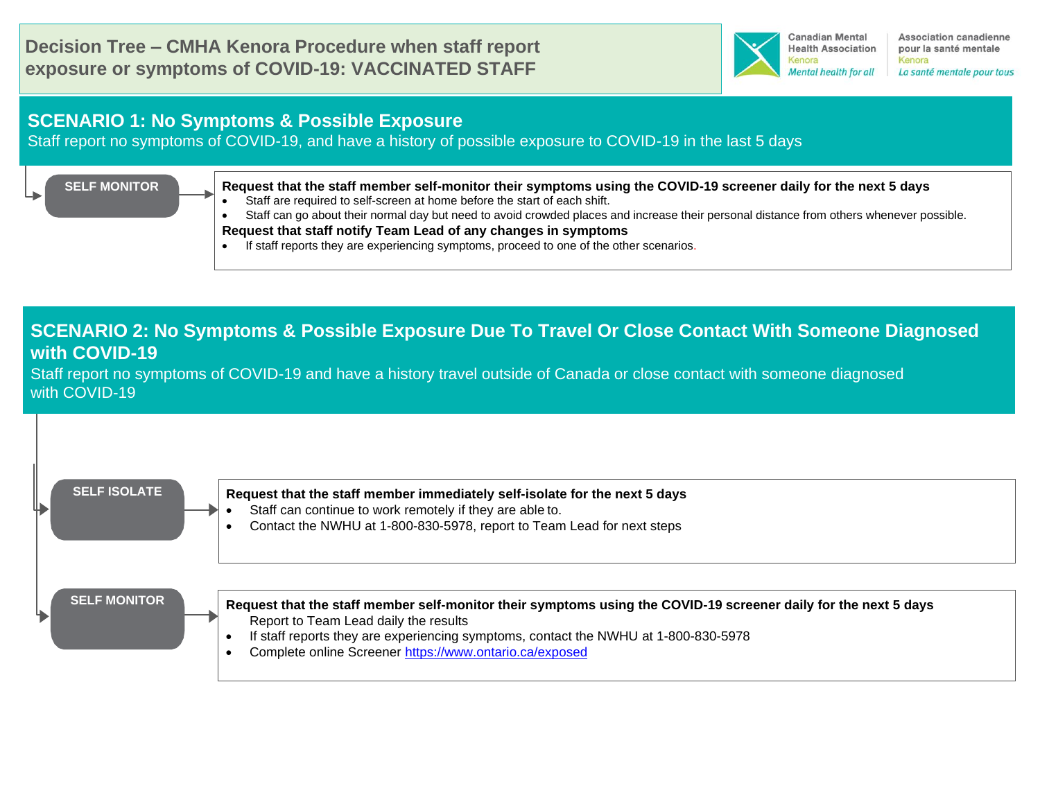

Association canadienne pour la santé mentale Kenora La santé mentale pour tous

### **SCENARIO 1: No Symptoms & Possible Exposure**

Staff report no symptoms of COVID-19, and have a history of possible exposure to COVID-19 in the last 5 days

#### **SELF MONITOR**

**Request that the staff member self-monitor their symptoms [using the COVID-19 screener daily for the next 5 days](https://covid-19.ontario.ca/self-assessment/#q0)**

Staff are required to self-screen at home before the start of each shift.

• Staff can go about their normal day but need to avoid crowded places and increase their personal distance from others whenever possible. **Request that staff notify Team Lead of any changes in symptoms**

• If staff reports they are experiencing symptoms, proceed to one of the other scenarios.

## **SCENARIO 2: No Symptoms & Possible Exposure Due To Travel Or Close Contact With Someone Diagnosed with COVID-19**

Staff report no symptoms of COVID-19 and have a history travel outside of Canada or close contact with someone diagnosed with COVID-19

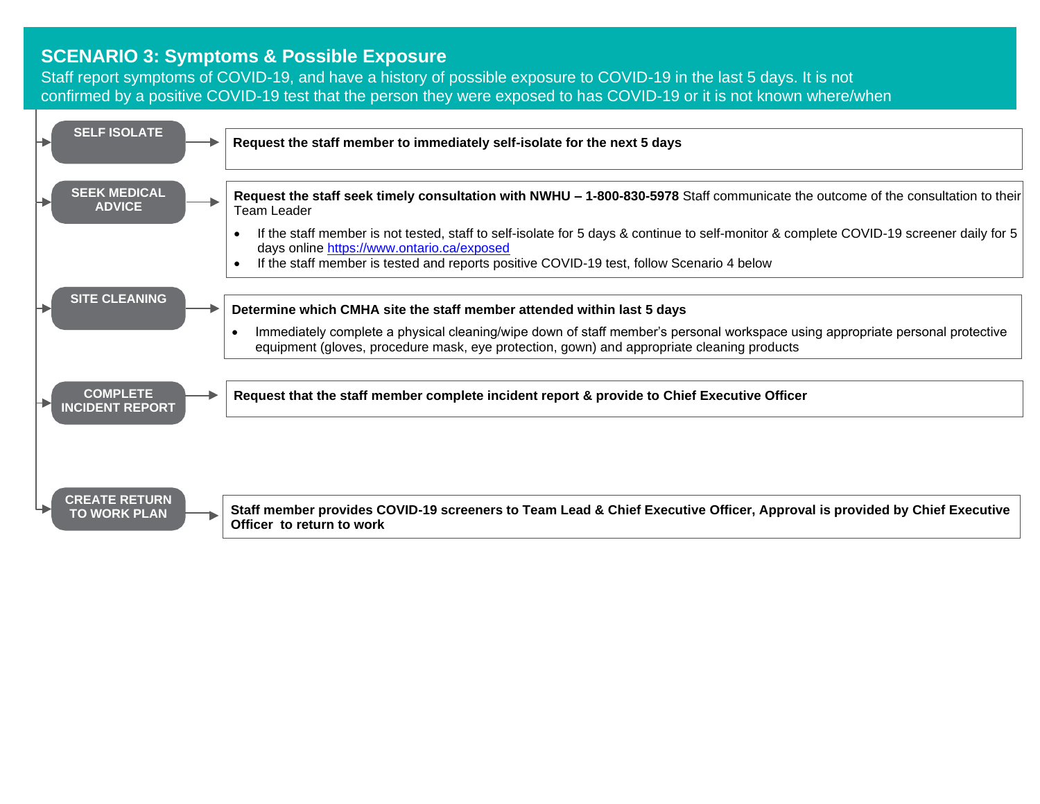#### **SCENARIO 3: Symptoms & Possible Exposure**

Staff report symptoms of COVID-19, and have a history of possible exposure to COVID-19 in the last 5 days. It is not confirmed by a positive COVID-19 test that the person they were exposed to has COVID-19 or it is not known where/when